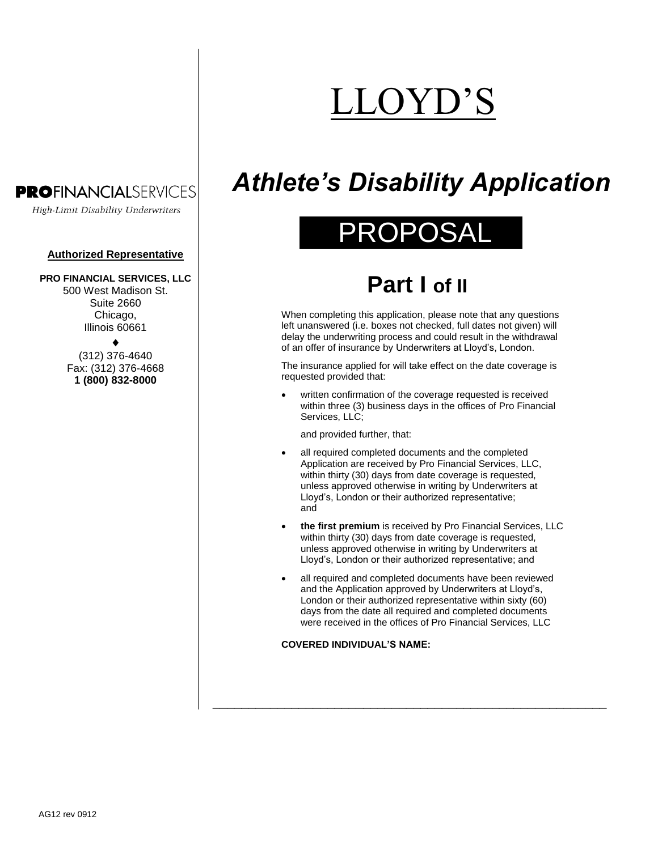# OYD'S

# **PROFINANCIALSERVICES**

High-Limit Disability Underwriters

### **Authorized Representative**

### **PRO FINANCIAL SERVICES, LLC**

500 West Madison St. Suite 2660 Chicago. Illinois 60661

> ▲ (312) 376-4640 Fax: (312) 376-4668 **1 (800) 832-8000**

# *Athlete's Disability Application*

# PROPOSAL

# **Part I of II**

When completing this application, please note that any questions left unanswered (i.e. boxes not checked, full dates not given) will delay the underwriting process and could result in the withdrawal of an offer of insurance by Underwriters at Lloyd's, London.

The insurance applied for will take effect on the date coverage is requested provided that:

 written confirmation of the coverage requested is received within three (3) business days in the offices of Pro Financial Services, LLC;

and provided further, that:

- all required completed documents and the completed Application are received by Pro Financial Services, LLC, within thirty (30) days from date coverage is requested, unless approved otherwise in writing by Underwriters at Lloyd's, London or their authorized representative; and
- **the first premium** is received by Pro Financial Services, LLC within thirty (30) days from date coverage is requested, unless approved otherwise in writing by Underwriters at Lloyd's, London or their authorized representative; and
- all required and completed documents have been reviewed and the Application approved by Underwriters at Lloyd's, London or their authorized representative within sixty (60) days from the date all required and completed documents were received in the offices of Pro Financial Services, LLC

\_\_\_\_\_\_\_\_\_\_\_\_\_\_\_\_\_\_\_\_\_\_\_\_\_\_\_\_\_\_\_\_\_\_\_\_\_\_\_\_\_\_\_\_\_\_\_\_\_\_\_\_\_\_\_

### **COVERED INDIVIDUAL'S NAME:**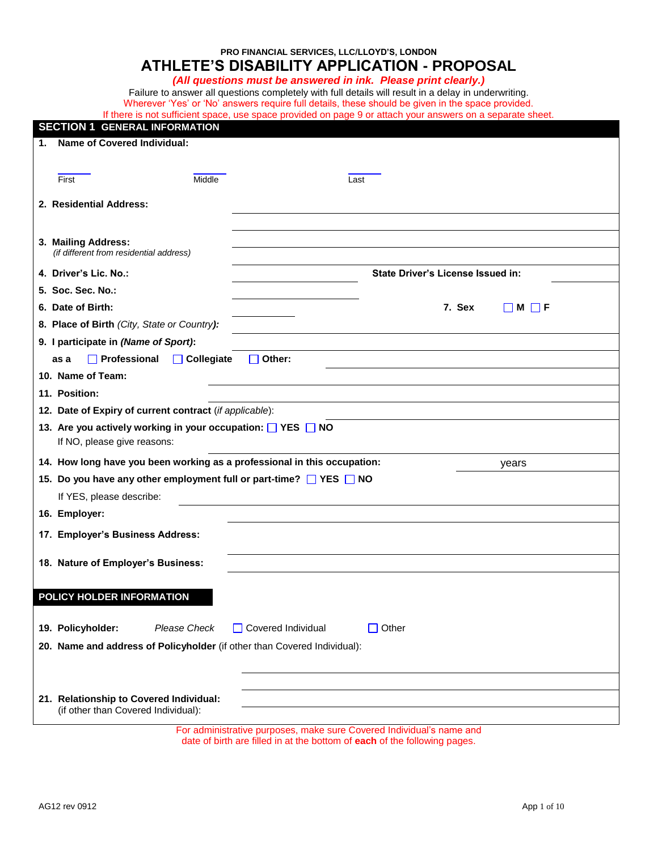## **PRO FINANCIAL SERVICES, LLC/LLOYD'S, LONDON ATHLETE'S DISABILITY APPLICATION - PROPOSAL**

### *(All questions must be answered in ink. Please print clearly.)*

Failure to answer all questions completely with full details will result in a delay in underwriting. Wherever 'Yes' or 'No' answers require full details, these should be given in the space provided.

| If there is not sufficient space, use space provided on page 9 or attach your answers on a separate sheet. |
|------------------------------------------------------------------------------------------------------------|
|------------------------------------------------------------------------------------------------------------|

| <b>SECTION 1 GENERAL INFORMATION</b>                                           |                                             |
|--------------------------------------------------------------------------------|---------------------------------------------|
| 1. Name of Covered Individual:                                                 |                                             |
|                                                                                |                                             |
| Middle<br>First                                                                | Last                                        |
|                                                                                |                                             |
| 2. Residential Address:                                                        |                                             |
|                                                                                |                                             |
| 3. Mailing Address:                                                            |                                             |
| (if different from residential address)                                        |                                             |
| 4. Driver's Lic. No.:                                                          | <b>State Driver's License Issued in:</b>    |
| 5. Soc. Sec. No.:                                                              |                                             |
| 6. Date of Birth:                                                              | 7. Sex<br>$\Box$ M $\Box$ F                 |
| 8. Place of Birth (City, State or Country):                                    |                                             |
| 9. I participate in (Name of Sport):                                           |                                             |
| $\Box$ Professional<br>$\Box$ Collegiate<br>as a                               | $\Box$ Other:                               |
| 10. Name of Team:                                                              |                                             |
| 11. Position:                                                                  |                                             |
| 12. Date of Expiry of current contract (if applicable):                        |                                             |
| 13. Are you actively working in your occupation: VES NO                        |                                             |
| If NO, please give reasons:                                                    |                                             |
| 14. How long have you been working as a professional in this occupation:       | years                                       |
| 15. Do you have any other employment full or part-time? TYES NO                |                                             |
| If YES, please describe:                                                       |                                             |
|                                                                                |                                             |
| 16. Employer:                                                                  |                                             |
| 17. Employer's Business Address:                                               |                                             |
| 18. Nature of Employer's Business:                                             |                                             |
|                                                                                |                                             |
| POLICY HOLDER INFORMATION                                                      |                                             |
|                                                                                |                                             |
| 19. Policyholder:<br><b>Please Check</b>                                       | Covered Individual<br>Other<br>$\mathsf{L}$ |
|                                                                                |                                             |
| 20. Name and address of Policyholder (if other than Covered Individual):       |                                             |
|                                                                                |                                             |
|                                                                                |                                             |
| 21. Relationship to Covered Individual:<br>(if other than Covered Individual): |                                             |
|                                                                                |                                             |

For administrative purposes, make sure Covered Individual's name and date of birth are filled in at the bottom of **each** of the following pages.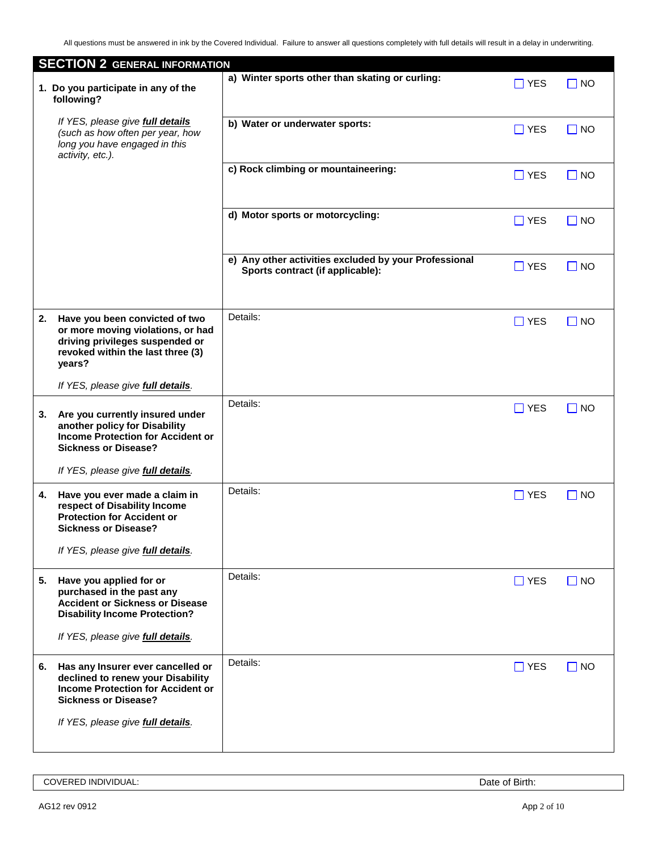|    | <b>SECTION 2 GENERAL INFORMATION</b>                                                                                                                  |                                                                                           |               |           |
|----|-------------------------------------------------------------------------------------------------------------------------------------------------------|-------------------------------------------------------------------------------------------|---------------|-----------|
|    | 1. Do you participate in any of the<br>following?                                                                                                     | a) Winter sports other than skating or curling:                                           | $\square$ YES | $\Box$ NO |
|    | If YES, please give <b>full details</b><br>(such as how often per year, how<br>long you have engaged in this<br>activity, etc.).                      | b) Water or underwater sports:                                                            | $\Box$ YES    | $\Box$ NO |
|    |                                                                                                                                                       | c) Rock climbing or mountaineering:                                                       | $\Box$ YES    | $\Box$ NO |
|    |                                                                                                                                                       | d) Motor sports or motorcycling:                                                          | $\Box$ YES    | $\Box$ NO |
|    |                                                                                                                                                       | e) Any other activities excluded by your Professional<br>Sports contract (if applicable): | $\Box$ YES    | $\Box$ NO |
| 2. | Have you been convicted of two<br>or more moving violations, or had<br>driving privileges suspended or<br>revoked within the last three (3)<br>years? | Details:                                                                                  | $\Box$ YES    | $\Box$ NO |
|    | If YES, please give full details.                                                                                                                     |                                                                                           |               |           |
| 3. | Are you currently insured under<br>another policy for Disability<br><b>Income Protection for Accident or</b><br><b>Sickness or Disease?</b>           | Details:                                                                                  | $\Box$ YES    | $\Box$ NO |
|    | If YES, please give <b>full details</b> .                                                                                                             |                                                                                           |               |           |
| 4. | Have you ever made a claim in<br>respect of Disability Income<br><b>Protection for Accident or</b><br><b>Sickness or Disease?</b>                     | Details:                                                                                  | $\Box$ YES    | $\Box$ NO |
|    | If YES, please give full details.                                                                                                                     |                                                                                           |               |           |
| 5. | Have you applied for or<br>purchased in the past any<br><b>Accident or Sickness or Disease</b><br><b>Disability Income Protection?</b>                | Details:                                                                                  | $\Box$ YES    | $\Box$ NO |
|    | If YES, please give full details.                                                                                                                     |                                                                                           |               |           |
| 6. | Has any Insurer ever cancelled or<br>declined to renew your Disability<br><b>Income Protection for Accident or</b><br><b>Sickness or Disease?</b>     | Details:                                                                                  | $\Box$ YES    | $\Box$ NO |
|    | If YES, please give <b>full details</b> .                                                                                                             |                                                                                           |               |           |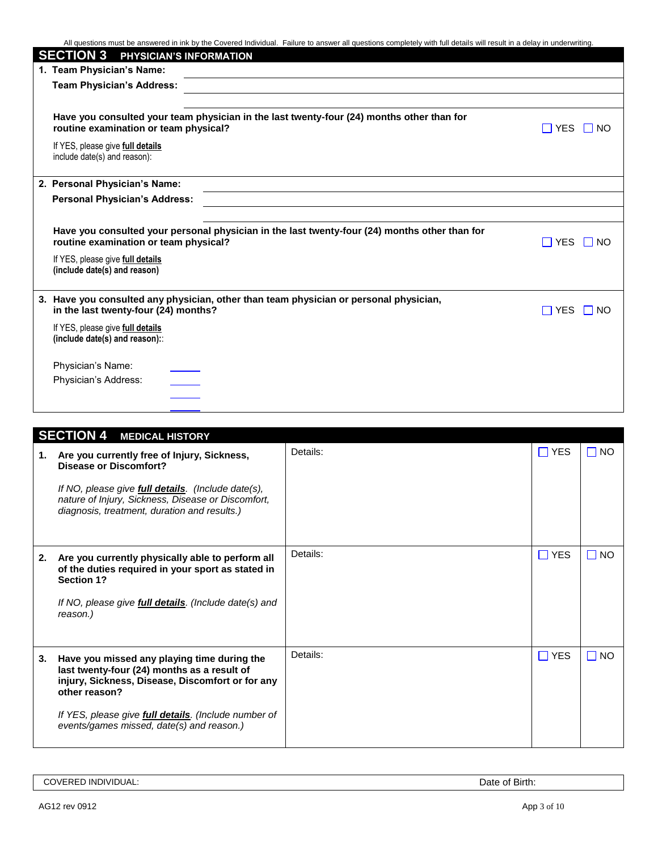| All questions must be answered in ink by the Covered Individual. Failure to answer all questions completely with full details will result in a delay in underwriting. |                      |
|-----------------------------------------------------------------------------------------------------------------------------------------------------------------------|----------------------|
| <b>SECTION 3</b><br>PHYSICIAN'S INFORMATION                                                                                                                           |                      |
| 1. Team Physician's Name:                                                                                                                                             |                      |
| <b>Team Physician's Address:</b>                                                                                                                                      |                      |
|                                                                                                                                                                       |                      |
| Have you consulted your team physician in the last twenty-four (24) months other than for<br>routine examination or team physical?                                    | $\Box$ YES $\Box$ NO |
| If YES, please give full details<br>include date(s) and reason):                                                                                                      |                      |
| 2. Personal Physician's Name:                                                                                                                                         |                      |
| <b>Personal Physician's Address:</b>                                                                                                                                  |                      |
|                                                                                                                                                                       |                      |
| Have you consulted your personal physician in the last twenty-four (24) months other than for<br>routine examination or team physical?                                | □ YES □ NO           |
| If YES, please give full details<br>(include date(s) and reason)                                                                                                      |                      |
| 3. Have you consulted any physician, other than team physician or personal physician,<br>in the last twenty-four (24) months?                                         | $\Box$ YES<br>I I NO |
| If YES, please give full details<br>(include date(s) and reason):                                                                                                     |                      |
| Physician's Name:                                                                                                                                                     |                      |
| Physician's Address:                                                                                                                                                  |                      |
|                                                                                                                                                                       |                      |
|                                                                                                                                                                       |                      |

|    | <b>SECTION 4 MEDICAL HISTORY</b>                                                                                                                                 |          |            |           |
|----|------------------------------------------------------------------------------------------------------------------------------------------------------------------|----------|------------|-----------|
| 1. | Are you currently free of Injury, Sickness,<br><b>Disease or Discomfort?</b>                                                                                     | Details: | $\Box$ YES | $\Box$ NO |
|    | If NO, please give <b>full details</b> . (Include date(s),<br>nature of Injury, Sickness, Disease or Discomfort,<br>diagnosis, treatment, duration and results.) |          |            |           |
| 2. | Are you currently physically able to perform all<br>of the duties required in your sport as stated in<br><b>Section 1?</b>                                       | Details: | $\Box$ YES | $\Box$ NO |
|    | If NO, please give <b>full details</b> . (Include date(s) and<br>reason.)                                                                                        |          |            |           |
| 3. | Have you missed any playing time during the<br>last twenty-four (24) months as a result of<br>injury, Sickness, Disease, Discomfort or for any<br>other reason?  | Details: | $\Box$ YES | $\Box$ NO |
|    | If YES, please give <i>full details</i> . (Include number of<br>events/games missed, date(s) and reason.)                                                        |          |            |           |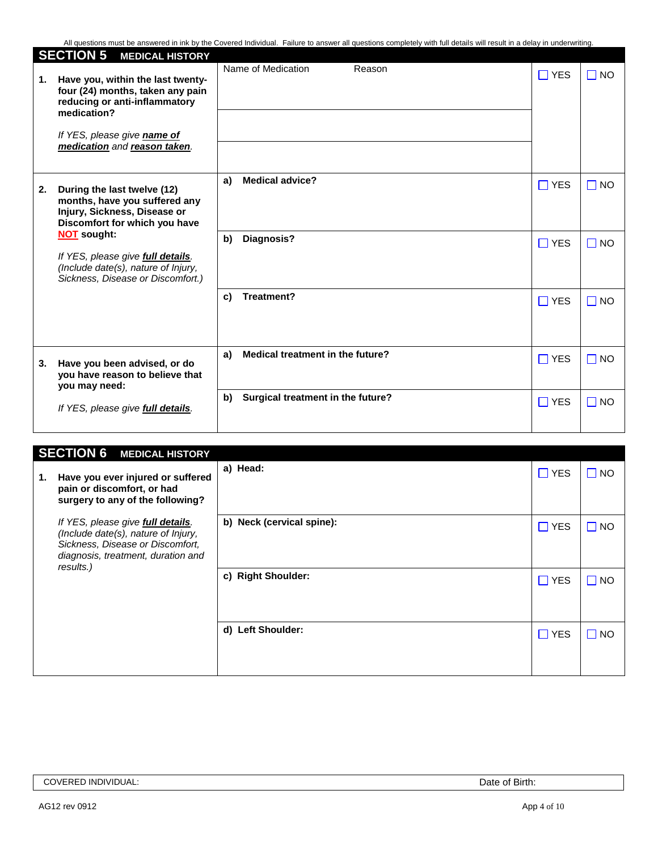|    | <b>SECTION 5</b><br><b>MEDICAL HISTORY</b>                                                                                                                                           |    |                                   |            |              |
|----|--------------------------------------------------------------------------------------------------------------------------------------------------------------------------------------|----|-----------------------------------|------------|--------------|
| 1. | Have you, within the last twenty-<br>four (24) months, taken any pain<br>reducing or anti-inflammatory<br>medication?<br>If YES, please give name of<br>medication and reason taken. |    | Name of Medication<br>Reason      | $\Box$ YES | $\square$ NO |
| 2. | During the last twelve (12)<br>months, have you suffered any<br>Injury, Sickness, Disease or<br>Discomfort for which you have                                                        | a) | <b>Medical advice?</b>            | $\Box$ YES | $\Box$ NO    |
|    | <b>NOT sought:</b><br>If YES, please give <b>full details</b> .<br>(Include date(s), nature of Injury,<br>Sickness, Disease or Discomfort.)                                          | b) | Diagnosis?                        | $\Box$ YES | $\Box$ NO    |
|    |                                                                                                                                                                                      | c) | Treatment?                        | $\Box$ YES | $\Box$ NO    |
| 3. | Have you been advised, or do<br>you have reason to believe that<br>you may need:                                                                                                     | a) | Medical treatment in the future?  | $\Box$ YES | $\Box$ NO    |
|    | If YES, please give <b>full details</b> .                                                                                                                                            | b) | Surgical treatment in the future? | $\Box$ YES | $\square$ NO |

|    | <b>SECTION 6 MEDICAL HISTORY</b>                                                                                                                                |                           |            |           |
|----|-----------------------------------------------------------------------------------------------------------------------------------------------------------------|---------------------------|------------|-----------|
| 1. | Have you ever injured or suffered<br>pain or discomfort, or had<br>surgery to any of the following?                                                             | a) Head:                  | $\Box$ YES | $\Box$ NO |
|    | If YES, please give full details.<br>(Include date(s), nature of Injury,<br>Sickness, Disease or Discomfort,<br>diagnosis, treatment, duration and<br>results.) | b) Neck (cervical spine): | $\Box$ YES | $\Box$ NO |
|    |                                                                                                                                                                 | c) Right Shoulder:        | $\Box$ YES | $\Box$ NO |
|    |                                                                                                                                                                 | d) Left Shoulder:         | $\Box$ YES | $\Box$ NO |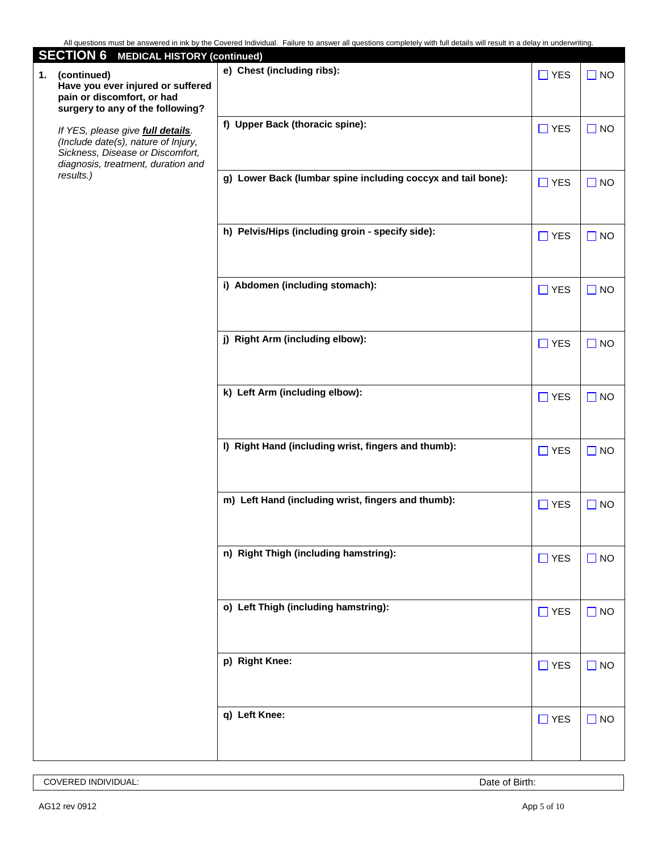| <b>SECTION 6 MEDICAL HISTORY (continued)</b>                                                                                                       |                                                              |            |           |
|----------------------------------------------------------------------------------------------------------------------------------------------------|--------------------------------------------------------------|------------|-----------|
| (continued)<br>1.<br>Have you ever injured or suffered<br>pain or discomfort, or had<br>surgery to any of the following?                           | e) Chest (including ribs):                                   | $\Box$ YES | $\Box$ NO |
| If YES, please give full details.<br>(Include date(s), nature of Injury,<br>Sickness, Disease or Discomfort,<br>diagnosis, treatment, duration and | f) Upper Back (thoracic spine):                              | $\Box$ YES | $\Box$ NO |
| results.)                                                                                                                                          | g) Lower Back (lumbar spine including coccyx and tail bone): | $\Box$ YES | $\Box$ NO |
|                                                                                                                                                    | h) Pelvis/Hips (including groin - specify side):             | $\Box$ YES | $\Box$ NO |
|                                                                                                                                                    | i) Abdomen (including stomach):                              | $\Box$ YES | $\Box$ NO |
|                                                                                                                                                    | j) Right Arm (including elbow):                              | $\Box$ YES | $\Box$ NO |
|                                                                                                                                                    | k) Left Arm (including elbow):                               | $\Box$ YES | $\Box$ NO |
|                                                                                                                                                    | I) Right Hand (including wrist, fingers and thumb):          | $\Box$ YES | $\Box$ NO |
|                                                                                                                                                    | m) Left Hand (including wrist, fingers and thumb):           | $\Box$ YES | $\Box$ NO |
|                                                                                                                                                    | n) Right Thigh (including hamstring):                        | $\Box$ YES | $\Box$ NO |
|                                                                                                                                                    | o) Left Thigh (including hamstring):                         | $\Box$ YES | $\Box$ NO |
|                                                                                                                                                    | p) Right Knee:                                               | $\Box$ YES | $\Box$ NO |
|                                                                                                                                                    | q) Left Knee:                                                | $\Box$ YES | $\Box$ NO |

COVERED INDIVIDUAL: Date of Birth: Date of Birth: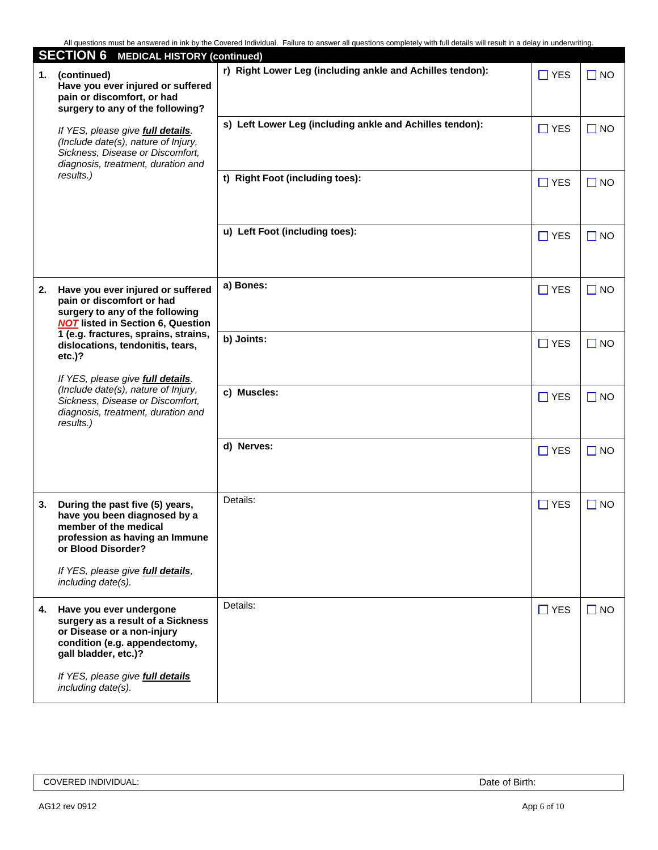|    | <b>SECTION 6 MEDICAL HISTORY (continued)</b>                                                                                                                                                                                                                                                                                                                                                              |                                                           |            |              |
|----|-----------------------------------------------------------------------------------------------------------------------------------------------------------------------------------------------------------------------------------------------------------------------------------------------------------------------------------------------------------------------------------------------------------|-----------------------------------------------------------|------------|--------------|
| 1. | (continued)<br>Have you ever injured or suffered<br>pain or discomfort, or had<br>surgery to any of the following?                                                                                                                                                                                                                                                                                        | r) Right Lower Leg (including ankle and Achilles tendon): | $\Box$ YES | $\square$ NO |
|    | If YES, please give full details.<br>(Include date(s), nature of Injury,<br>Sickness, Disease or Discomfort,<br>diagnosis, treatment, duration and                                                                                                                                                                                                                                                        | s) Left Lower Leg (including ankle and Achilles tendon):  | $\Box$ YES | $\square$ NO |
|    | results.)                                                                                                                                                                                                                                                                                                                                                                                                 | t) Right Foot (including toes):                           | $\Box$ YES | $\Box$ NO    |
|    |                                                                                                                                                                                                                                                                                                                                                                                                           | u) Left Foot (including toes):                            | $\Box$ YES | $\square$ NO |
| 2. | Have you ever injured or suffered<br>pain or discomfort or had<br>surgery to any of the following<br><b>NOT</b> listed in Section 6, Question<br>1 (e.g. fractures, sprains, strains,<br>dislocations, tendonitis, tears,<br>$etc.$ )?<br>If YES, please give full details.<br>(Include date(s), nature of Injury,<br>Sickness, Disease or Discomfort,<br>diagnosis, treatment, duration and<br>results.) | a) Bones:                                                 | $\Box$ YES | $\square$ NO |
|    |                                                                                                                                                                                                                                                                                                                                                                                                           | b) Joints:                                                | $\Box$ YES | $\Box$ NO    |
|    |                                                                                                                                                                                                                                                                                                                                                                                                           | c) Muscles:                                               | $\Box$ YES | $\square$ NO |
|    |                                                                                                                                                                                                                                                                                                                                                                                                           | d) Nerves:                                                | $\Box$ YES | $\square$ NO |
| 3. | During the past five (5) years,<br>have you been diagnosed by a<br>member of the medical<br>profession as having an Immune<br>or Blood Disorder?                                                                                                                                                                                                                                                          | Details:                                                  | $\Box$ YES | $\Box$ NO    |
|    | If YES, please give full details,<br>including date(s).                                                                                                                                                                                                                                                                                                                                                   |                                                           |            |              |
| 4. | Have you ever undergone<br>surgery as a result of a Sickness<br>or Disease or a non-injury<br>condition (e.g. appendectomy,<br>gall bladder, etc.)?                                                                                                                                                                                                                                                       | Details:                                                  | $\Box$ YES | $\Box$ NO    |
|    | If YES, please give full details<br>including date(s).                                                                                                                                                                                                                                                                                                                                                    |                                                           |            |              |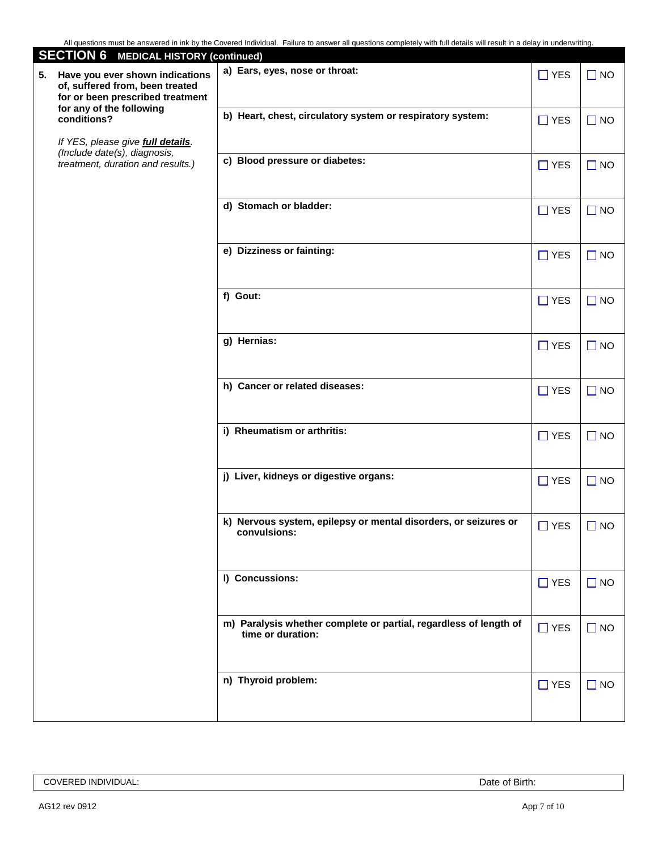| <b>SECTION 6 MEDICAL HISTORY (continued)</b>                                                                                             |                                                                                        |            |              |
|------------------------------------------------------------------------------------------------------------------------------------------|----------------------------------------------------------------------------------------|------------|--------------|
| Have you ever shown indications<br>5.<br>of, suffered from, been treated<br>for or been prescribed treatment<br>for any of the following | a) Ears, eyes, nose or throat:                                                         | $\Box$ YES | $\square$ NO |
| conditions?<br>If YES, please give full details.                                                                                         | b) Heart, chest, circulatory system or respiratory system:                             | $\Box$ YES | $\Box$ NO    |
| (Include date(s), diagnosis,<br>treatment, duration and results.)                                                                        | c) Blood pressure or diabetes:                                                         | $\Box$ YES | $\Box$ NO    |
|                                                                                                                                          | d) Stomach or bladder:                                                                 | $\Box$ YES | $\Box$ NO    |
|                                                                                                                                          | e) Dizziness or fainting:                                                              | $\Box$ YES | $\Box$ NO    |
|                                                                                                                                          | f) Gout:                                                                               | $\Box$ YES | $\Box$ NO    |
|                                                                                                                                          | g) Hernias:                                                                            | $\Box$ YES | $\Box$ NO    |
|                                                                                                                                          | h) Cancer or related diseases:                                                         | $\Box$ YES | $\Box$ NO    |
|                                                                                                                                          | i) Rheumatism or arthritis:                                                            | $\Box$ YES | $\Box$ NO    |
|                                                                                                                                          | j) Liver, kidneys or digestive organs:                                                 | $\Box$ YES | $\Box$ NO    |
|                                                                                                                                          | k) Nervous system, epilepsy or mental disorders, or seizures or<br>convulsions:        | $\Box$ YES | $\Box$ NO    |
|                                                                                                                                          | I) Concussions:                                                                        | $\Box$ YES | $\Box$ NO    |
|                                                                                                                                          | m) Paralysis whether complete or partial, regardless of length of<br>time or duration: | $\Box$ YES | $\Box$ NO    |
|                                                                                                                                          | n) Thyroid problem:                                                                    | $\Box$ YES | $\Box$ NO    |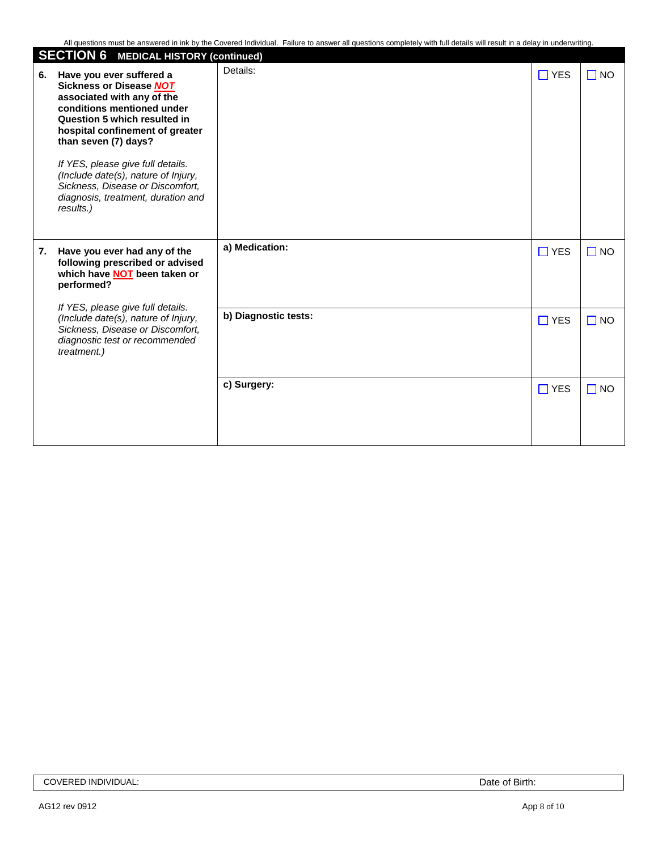|    | <b>SECTION 6 MEDICAL HISTORY (continued)</b>                                                                                                                                                                                                                                                                                                                                         |                      |               |           |
|----|--------------------------------------------------------------------------------------------------------------------------------------------------------------------------------------------------------------------------------------------------------------------------------------------------------------------------------------------------------------------------------------|----------------------|---------------|-----------|
| 6. | Have you ever suffered a<br><b>Sickness or Disease NOT</b><br>associated with any of the<br>conditions mentioned under<br>Question 5 which resulted in<br>hospital confinement of greater<br>than seven (7) days?<br>If YES, please give full details.<br>(Include date(s), nature of Injury,<br>Sickness, Disease or Discomfort,<br>diagnosis, treatment, duration and<br>results.) | Details:             | $\square$ YES | $\Box$ NO |
| 7. | Have you ever had any of the<br>following prescribed or advised<br>which have <b>NOT</b> been taken or<br>performed?                                                                                                                                                                                                                                                                 | a) Medication:       | $\Box$ YES    | $\Box$ NO |
|    | If YES, please give full details.<br>(Include date(s), nature of Injury,<br>Sickness, Disease or Discomfort,<br>diagnostic test or recommended<br>treatment.)                                                                                                                                                                                                                        | b) Diagnostic tests: | $\Box$ YES    | $\Box$ NO |
|    |                                                                                                                                                                                                                                                                                                                                                                                      | c) Surgery:          | $\Box$ YES    | $\Box$ NO |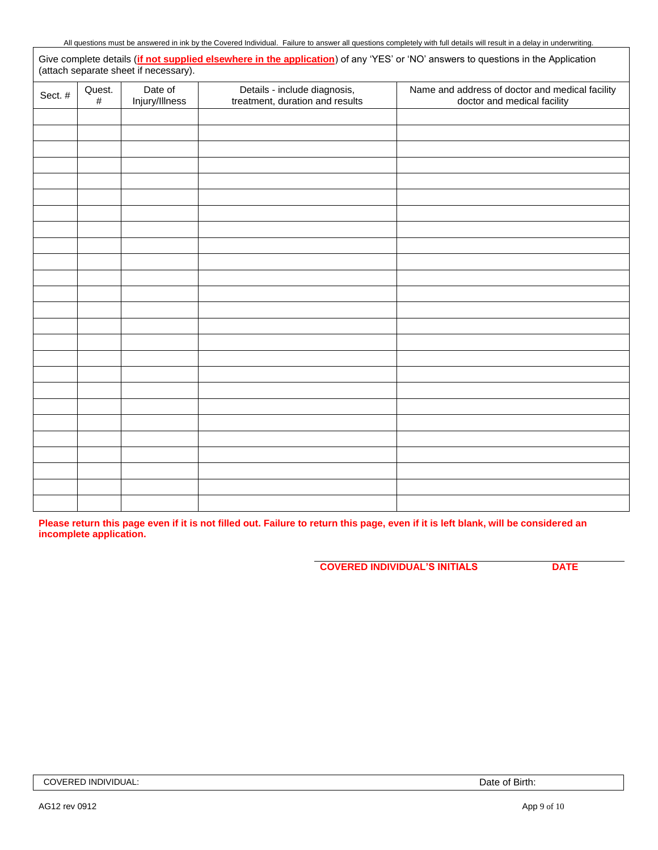| All questions must       | t be answered in ink by the C | : Covered Individual.                              | -ailure to answer |              |     | r all questions completely with full details will result in a delay in underwriting. |  |
|--------------------------|-------------------------------|----------------------------------------------------|-------------------|--------------|-----|--------------------------------------------------------------------------------------|--|
| details<br>Give complete |                               | ot supplied elsewhere in the application) of any ' |                   | 'Y⊢S′<br>n n | 'NC | answers to questions in the Application                                              |  |

|         |                |                           |                                                                 | Give complete details (in not supplied elsewhere in the application) of any TEO of NO answers to questions in the Application<br>(attach separate sheet if necessary). |
|---------|----------------|---------------------------|-----------------------------------------------------------------|------------------------------------------------------------------------------------------------------------------------------------------------------------------------|
| Sect. # | Quest.<br>$\#$ | Date of<br>Injury/Illness | Details - include diagnosis,<br>treatment, duration and results | Name and address of doctor and medical facility<br>doctor and medical facility                                                                                         |
|         |                |                           |                                                                 |                                                                                                                                                                        |
|         |                |                           |                                                                 |                                                                                                                                                                        |
|         |                |                           |                                                                 |                                                                                                                                                                        |
|         |                |                           |                                                                 |                                                                                                                                                                        |
|         |                |                           |                                                                 |                                                                                                                                                                        |
|         |                |                           |                                                                 |                                                                                                                                                                        |
|         |                |                           |                                                                 |                                                                                                                                                                        |
|         |                |                           |                                                                 |                                                                                                                                                                        |
|         |                |                           |                                                                 |                                                                                                                                                                        |
|         |                |                           |                                                                 |                                                                                                                                                                        |
|         |                |                           |                                                                 |                                                                                                                                                                        |
|         |                |                           |                                                                 |                                                                                                                                                                        |
|         |                |                           |                                                                 |                                                                                                                                                                        |
|         |                |                           |                                                                 |                                                                                                                                                                        |
|         |                |                           |                                                                 |                                                                                                                                                                        |
|         |                |                           |                                                                 |                                                                                                                                                                        |
|         |                |                           |                                                                 |                                                                                                                                                                        |
|         |                |                           |                                                                 |                                                                                                                                                                        |
|         |                |                           |                                                                 |                                                                                                                                                                        |
|         |                |                           |                                                                 |                                                                                                                                                                        |
|         |                |                           |                                                                 |                                                                                                                                                                        |
|         |                |                           |                                                                 |                                                                                                                                                                        |
|         |                |                           |                                                                 |                                                                                                                                                                        |
|         |                |                           |                                                                 |                                                                                                                                                                        |
|         |                |                           |                                                                 |                                                                                                                                                                        |

**Please return this page even if it is not filled out. Failure to return this page, even if it is left blank, will be considered an incomplete application.**

**COVERED INDIVIDUAL'S INITIALS DATE**